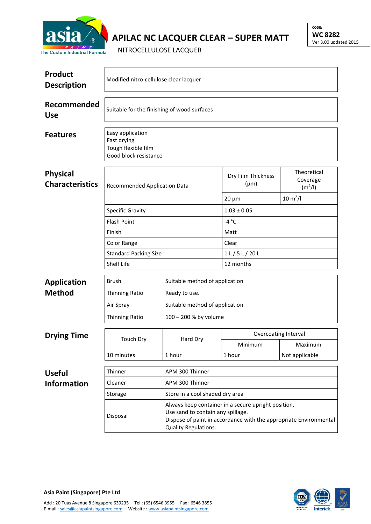

## **APILAC NC LACQUER CLEAR – SUPER MATT**

NITROCELLULOSE LACQUER

| <b>Product</b><br><b>Description</b>      | Modified nitro-cellulose clear lacquer                                          |                                                                                                                                                                                       |                                 |                                                |  |  |
|-------------------------------------------|---------------------------------------------------------------------------------|---------------------------------------------------------------------------------------------------------------------------------------------------------------------------------------|---------------------------------|------------------------------------------------|--|--|
| Recommended<br><b>Use</b>                 | Suitable for the finishing of wood surfaces                                     |                                                                                                                                                                                       |                                 |                                                |  |  |
| <b>Features</b>                           | Easy application<br>Fast drying<br>Tough flexible film<br>Good block resistance |                                                                                                                                                                                       |                                 |                                                |  |  |
| <b>Physical</b><br><b>Characteristics</b> | Recommended Application Data                                                    |                                                                                                                                                                                       | Dry Film Thickness<br>$(\mu m)$ | Theoretical<br>Coverage<br>(m <sup>2</sup> /I) |  |  |
|                                           |                                                                                 |                                                                                                                                                                                       | $20 \mu m$                      | $10 \, \text{m}^2$ /l                          |  |  |
|                                           | <b>Specific Gravity</b>                                                         |                                                                                                                                                                                       | $1.03 \pm 0.05$                 |                                                |  |  |
|                                           | <b>Flash Point</b>                                                              |                                                                                                                                                                                       | $-4 °C$                         |                                                |  |  |
|                                           | Finish                                                                          |                                                                                                                                                                                       | Matt                            |                                                |  |  |
|                                           | Color Range                                                                     |                                                                                                                                                                                       | Clear                           |                                                |  |  |
|                                           | <b>Standard Packing Size</b>                                                    |                                                                                                                                                                                       | 1 L / 5 L / 20 L                |                                                |  |  |
|                                           | Shelf Life                                                                      |                                                                                                                                                                                       | 12 months                       |                                                |  |  |
| <b>Application</b>                        | <b>Brush</b>                                                                    | Suitable method of application                                                                                                                                                        |                                 |                                                |  |  |
| <b>Method</b>                             | Thinning Ratio                                                                  | Ready to use.                                                                                                                                                                         |                                 |                                                |  |  |
|                                           | Air Spray                                                                       | Suitable method of application                                                                                                                                                        |                                 |                                                |  |  |
|                                           | Thinning Ratio                                                                  | 100 - 200 % by volume                                                                                                                                                                 |                                 |                                                |  |  |
|                                           |                                                                                 |                                                                                                                                                                                       |                                 |                                                |  |  |
| <b>Drying Time</b>                        | <b>Touch Dry</b>                                                                | Hard Dry                                                                                                                                                                              | <b>Overcoating Interval</b>     |                                                |  |  |
|                                           |                                                                                 |                                                                                                                                                                                       | Minimum                         | Maximum                                        |  |  |
|                                           | 10 minutes                                                                      | 1 hour                                                                                                                                                                                | 1 hour                          | Not applicable                                 |  |  |
| <b>Useful</b>                             | Thinner                                                                         | APM 300 Thinner                                                                                                                                                                       |                                 |                                                |  |  |
| <b>Information</b>                        | Cleaner                                                                         | APM 300 Thinner                                                                                                                                                                       |                                 |                                                |  |  |
|                                           | Storage                                                                         | Store in a cool shaded dry area                                                                                                                                                       |                                 |                                                |  |  |
|                                           | Disposal                                                                        | Always keep container in a secure upright position.<br>Use sand to contain any spillage.<br>Dispose of paint in accordance with the appropriate Environmental<br>Quality Regulations. |                                 |                                                |  |  |